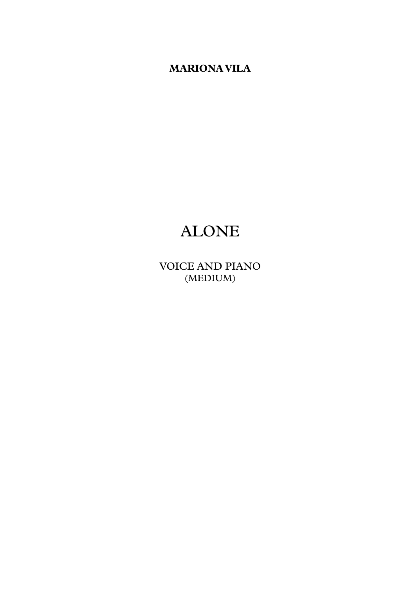**MARIONA VILA**

# ALONE

VOICE AND PIANO (MEDIUM)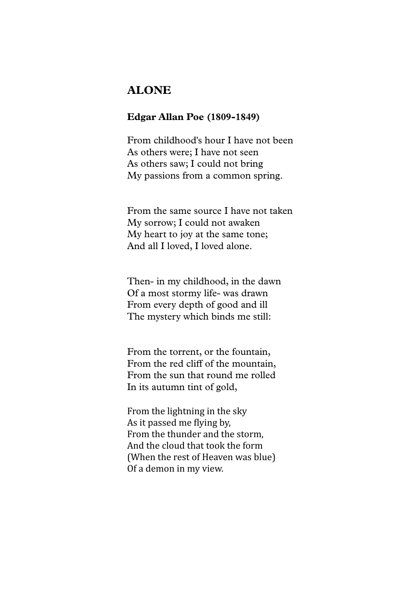## **ALONE**

### **Edgar Allan Poe (1809-1849)**

From childhood's hour I have not been As others were; I have not seen As others saw; I could not bring My passions from a common spring.

From the same source I have not taken My sorrow; I could not awaken My heart to joy at the same tone; And all I loved, I loved alone.

Then- in my childhood, in the dawn Of a most stormy life- was drawn From every depth of good and ill The mystery which binds me still:

From the torrent, or the fountain, From the red cliff of the mountain, From the sun that round me rolled In its autumn tint of gold,

From the lightning in the sky As it passed me flying by. From the thunder and the storm, And the cloud that took the form (When the rest of Heaven was blue) Of a demon in my view.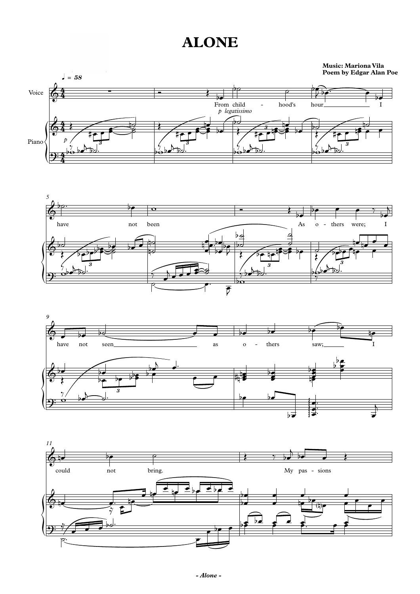





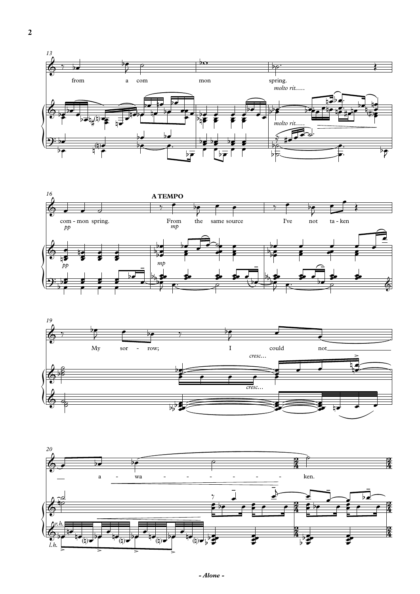





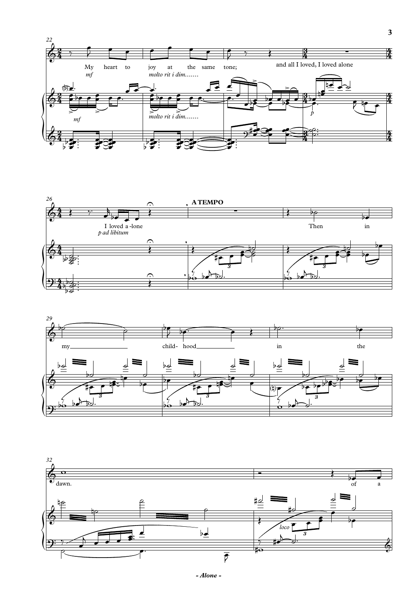





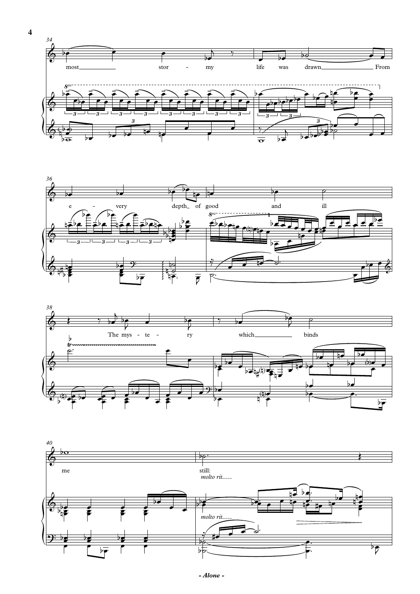







 $\overline{\mathbf{4}}$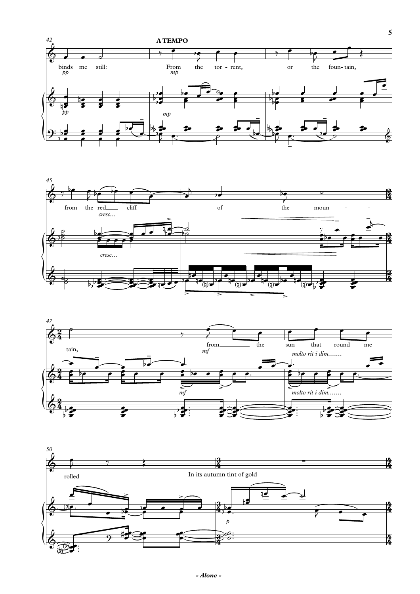





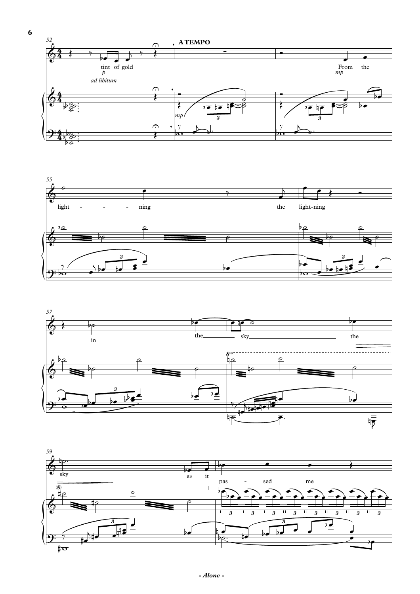





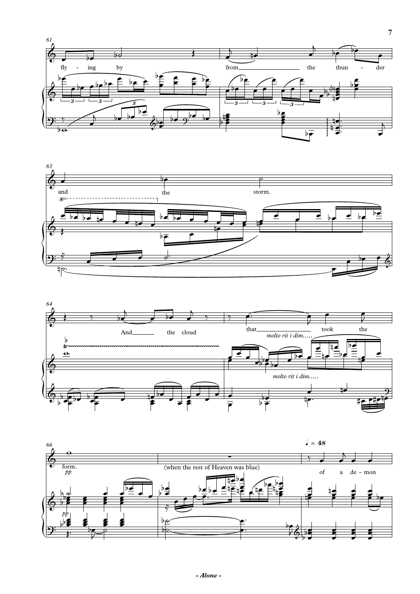